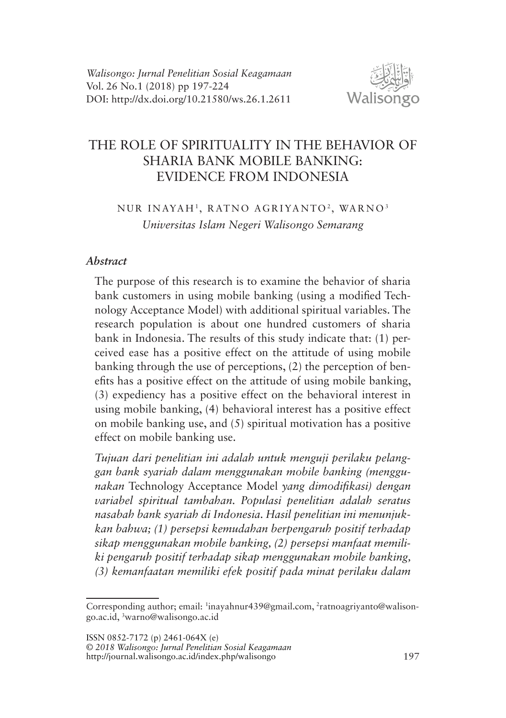

# THE ROLE OF SPIRITUALITY IN THE BEHAVIOR OF SHARIA BANK MOBILE BANKING: EVIDENCE FROM INDONESIA

# NUR INAYAH<sup>1</sup>, RATNO AGRIYANTO<sup>2</sup>, WARNO<sup>3</sup> *Universitas Islam Negeri Walisongo Semarang*

### *Abstract*

The purpose of this research is to examine the behavior of sharia bank customers in using mobile banking (using a modified Technology Acceptance Model) with additional spiritual variables. The research population is about one hundred customers of sharia bank in Indonesia. The results of this study indicate that: (1) perceived ease has a positive effect on the attitude of using mobile banking through the use of perceptions, (2) the perception of benefits has a positive effect on the attitude of using mobile banking, (3) expediency has a positive effect on the behavioral interest in using mobile banking, (4) behavioral interest has a positive effect on mobile banking use, and (5) spiritual motivation has a positive effect on mobile banking use.

*Tujuan dari penelitian ini adalah untuk menguji perilaku pelanggan bank syariah dalam menggunakan mobile banking (menggunakan* Technology Acceptance Model *yang dimodifikasi) dengan variabel spiritual tambahan. Populasi penelitian adalah seratus nasabah bank syariah di Indonesia. Hasil penelitian ini menunjukkan bahwa; (1) persepsi kemudahan berpengaruh positif terhadap sikap menggunakan mobile banking, (2) persepsi manfaat memiliki pengaruh positif terhadap sikap menggunakan mobile banking, (3) kemanfaatan memiliki efek positif pada minat perilaku dalam* 

ISSN 0852-7172 (p) 2461-064X (e)

© *2018 Walisongo: Jurnal Penelitian Sosial Keagamaan*  http://journal.walisongo.ac.id/index.php/walisongo 197

Corresponding author; email: <sup>1</sup>inayahnur439@gmail.com, <sup>2</sup>ratnoagriyanto@walisongo.ac.id, 3 warno@walisongo.ac.id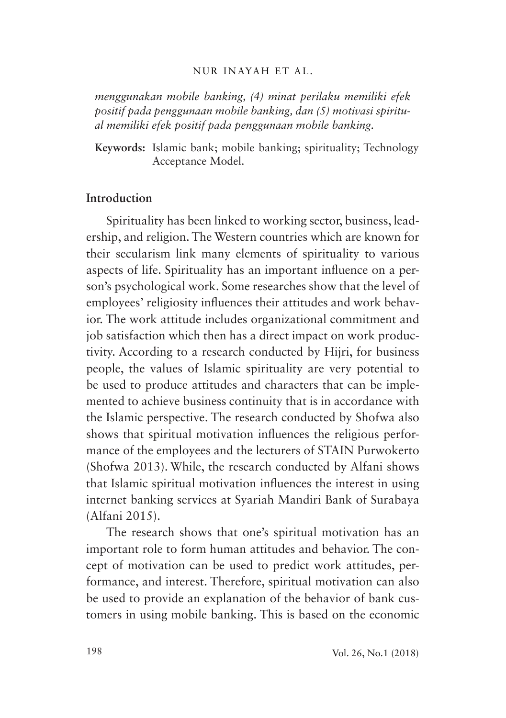#### NUR INAYAH ET AL.

*menggunakan mobile banking, (4) minat perilaku memiliki efek positif pada penggunaan mobile banking, dan (5) motivasi spiritual memiliki efek positif pada penggunaan mobile banking.*

**Keywords:** Islamic bank; mobile banking; spirituality; Technology Acceptance Model.

## **Introduction**

Spirituality has been linked to working sector, business, leadership, and religion. The Western countries which are known for their secularism link many elements of spirituality to various aspects of life. Spirituality has an important influence on a person's psychological work. Some researches show that the level of employees' religiosity influences their attitudes and work behavior. The work attitude includes organizational commitment and job satisfaction which then has a direct impact on work productivity. According to a research conducted by Hijri, for business people, the values of Islamic spirituality are very potential to be used to produce attitudes and characters that can be implemented to achieve business continuity that is in accordance with the Islamic perspective. The research conducted by Shofwa also shows that spiritual motivation influences the religious performance of the employees and the lecturers of STAIN Purwokerto (Shofwa 2013). While, the research conducted by Alfani shows that Islamic spiritual motivation influences the interest in using internet banking services at Syariah Mandiri Bank of Surabaya (Alfani 2015).

The research shows that one's spiritual motivation has an important role to form human attitudes and behavior. The concept of motivation can be used to predict work attitudes, performance, and interest. Therefore, spiritual motivation can also be used to provide an explanation of the behavior of bank customers in using mobile banking. This is based on the economic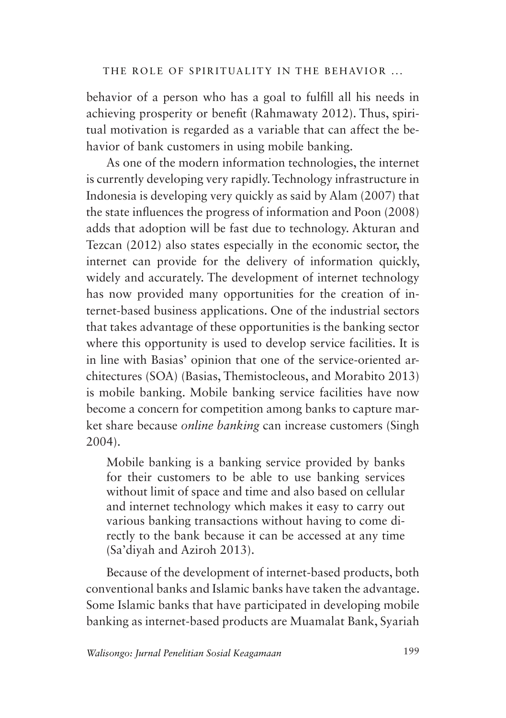behavior of a person who has a goal to fulfill all his needs in achieving prosperity or benefit (Rahmawaty 2012). Thus, spiritual motivation is regarded as a variable that can affect the behavior of bank customers in using mobile banking.

As one of the modern information technologies, the internet is currently developing very rapidly. Technology infrastructure in Indonesia is developing very quickly as said by Alam (2007) that the state influences the progress of information and Poon (2008) adds that adoption will be fast due to technology. Akturan and Tezcan (2012) also states especially in the economic sector, the internet can provide for the delivery of information quickly, widely and accurately. The development of internet technology has now provided many opportunities for the creation of internet-based business applications. One of the industrial sectors that takes advantage of these opportunities is the banking sector where this opportunity is used to develop service facilities. It is in line with Basias' opinion that one of the service-oriented architectures (SOA) (Basias, Themistocleous, and Morabito 2013) is mobile banking. Mobile banking service facilities have now become a concern for competition among banks to capture market share because *online banking* can increase customers (Singh 2004).

Mobile banking is a banking service provided by banks for their customers to be able to use banking services without limit of space and time and also based on cellular and internet technology which makes it easy to carry out various banking transactions without having to come directly to the bank because it can be accessed at any time (Sa'diyah and Aziroh 2013).

Because of the development of internet-based products, both conventional banks and Islamic banks have taken the advantage. Some Islamic banks that have participated in developing mobile banking as internet-based products are Muamalat Bank, Syariah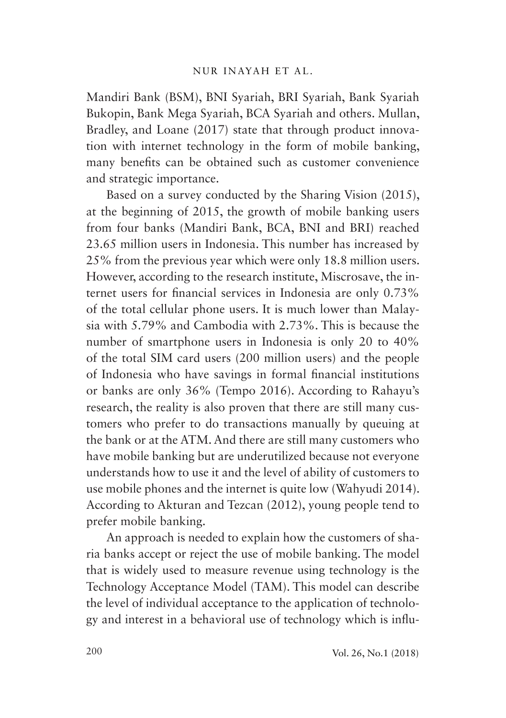Mandiri Bank (BSM), BNI Syariah, BRI Syariah, Bank Syariah Bukopin, Bank Mega Syariah, BCA Syariah and others. Mullan, Bradley, and Loane (2017) state that through product innovation with internet technology in the form of mobile banking, many benefits can be obtained such as customer convenience and strategic importance.

Based on a survey conducted by the Sharing Vision (2015), at the beginning of 2015, the growth of mobile banking users from four banks (Mandiri Bank, BCA, BNI and BRI) reached 23.65 million users in Indonesia. This number has increased by 25% from the previous year which were only 18.8 million users. However, according to the research institute, Miscrosave, the internet users for financial services in Indonesia are only 0.73% of the total cellular phone users. It is much lower than Malaysia with 5.79% and Cambodia with 2.73%. This is because the number of smartphone users in Indonesia is only 20 to 40% of the total SIM card users (200 million users) and the people of Indonesia who have savings in formal financial institutions or banks are only 36% (Tempo 2016). According to Rahayu's research, the reality is also proven that there are still many customers who prefer to do transactions manually by queuing at the bank or at the ATM. And there are still many customers who have mobile banking but are underutilized because not everyone understands how to use it and the level of ability of customers to use mobile phones and the internet is quite low (Wahyudi 2014). According to Akturan and Tezcan (2012), young people tend to prefer mobile banking.

An approach is needed to explain how the customers of sharia banks accept or reject the use of mobile banking. The model that is widely used to measure revenue using technology is the Technology Acceptance Model (TAM). This model can describe the level of individual acceptance to the application of technology and interest in a behavioral use of technology which is influ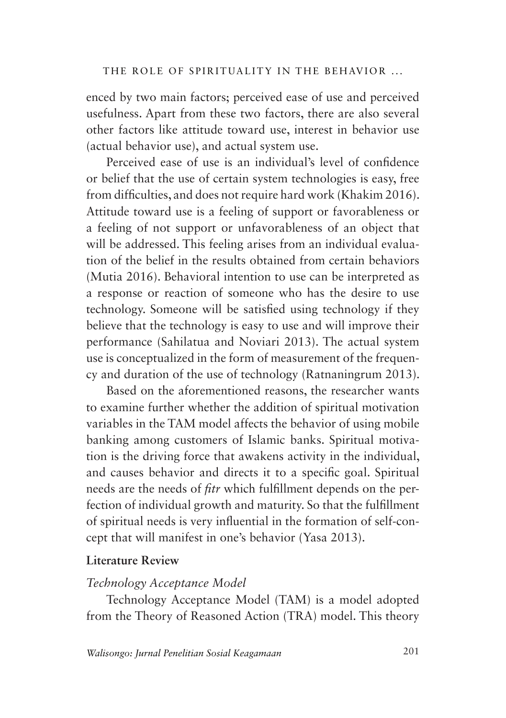enced by two main factors; perceived ease of use and perceived usefulness. Apart from these two factors, there are also several other factors like attitude toward use, interest in behavior use (actual behavior use), and actual system use.

Perceived ease of use is an individual's level of confidence or belief that the use of certain system technologies is easy, free from difficulties, and does not require hard work (Khakim 2016). Attitude toward use is a feeling of support or favorableness or a feeling of not support or unfavorableness of an object that will be addressed. This feeling arises from an individual evaluation of the belief in the results obtained from certain behaviors (Mutia 2016). Behavioral intention to use can be interpreted as a response or reaction of someone who has the desire to use technology. Someone will be satisfied using technology if they believe that the technology is easy to use and will improve their performance (Sahilatua and Noviari 2013). The actual system use is conceptualized in the form of measurement of the frequency and duration of the use of technology (Ratnaningrum 2013).

Based on the aforementioned reasons, the researcher wants to examine further whether the addition of spiritual motivation variables in the TAM model affects the behavior of using mobile banking among customers of Islamic banks. Spiritual motivation is the driving force that awakens activity in the individual, and causes behavior and directs it to a specific goal. Spiritual needs are the needs of *fitr* which fulfillment depends on the perfection of individual growth and maturity. So that the fulfillment of spiritual needs is very influential in the formation of self-concept that will manifest in one's behavior (Yasa 2013).

# **Literature Review**

## *Technology Acceptance Model*

Technology Acceptance Model (TAM) is a model adopted from the Theory of Reasoned Action (TRA) model. This theory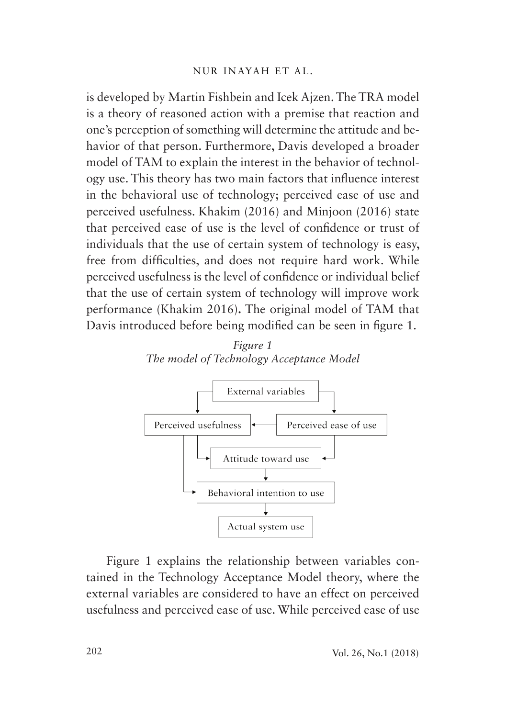is developed by Martin Fishbein and Icek Ajzen. The TRA model is a theory of reasoned action with a premise that reaction and one's perception of something will determine the attitude and behavior of that person. Furthermore, Davis developed a broader model of TAM to explain the interest in the behavior of technology use. This theory has two main factors that influence interest in the behavioral use of technology; perceived ease of use and perceived usefulness. Khakim (2016) and Minjoon (2016) state that perceived ease of use is the level of confidence or trust of individuals that the use of certain system of technology is easy, free from difficulties, and does not require hard work. While perceived usefulness is the level of confidence or individual belief that the use of certain system of technology will improve work performance (Khakim 2016)**.** The original model of TAM that Davis introduced before being modified can be seen in figure 1.





Figure 1 explains the relationship between variables contained in the Technology Acceptance Model theory, where the external variables are considered to have an effect on perceived usefulness and perceived ease of use. While perceived ease of use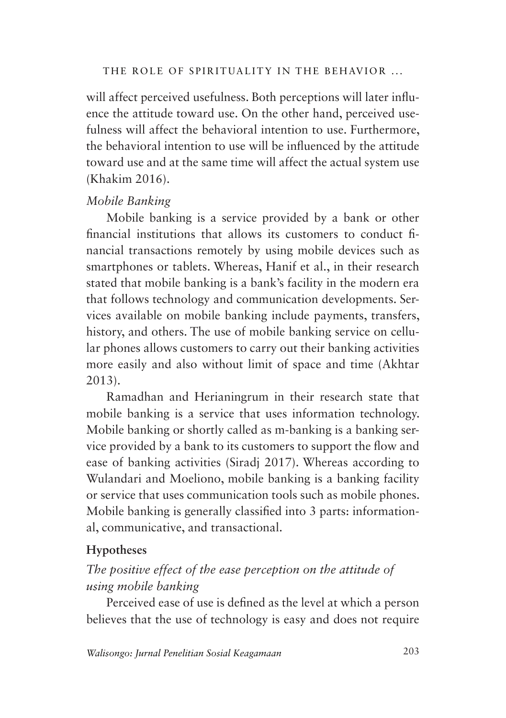will affect perceived usefulness. Both perceptions will later influence the attitude toward use. On the other hand, perceived usefulness will affect the behavioral intention to use. Furthermore, the behavioral intention to use will be influenced by the attitude toward use and at the same time will affect the actual system use (Khakim 2016).

## *Mobile Banking*

Mobile banking is a service provided by a bank or other financial institutions that allows its customers to conduct financial transactions remotely by using mobile devices such as smartphones or tablets. Whereas, Hanif et al., in their research stated that mobile banking is a bank's facility in the modern era that follows technology and communication developments. Services available on mobile banking include payments, transfers, history, and others. The use of mobile banking service on cellular phones allows customers to carry out their banking activities more easily and also without limit of space and time (Akhtar 2013).

Ramadhan and Herianingrum in their research state that mobile banking is a service that uses information technology. Mobile banking or shortly called as m-banking is a banking service provided by a bank to its customers to support the flow and ease of banking activities (Siradj 2017). Whereas according to Wulandari and Moeliono, mobile banking is a banking facility or service that uses communication tools such as mobile phones. Mobile banking is generally classified into 3 parts: informational, communicative, and transactional.

# **Hypotheses**

# *The positive effect of the ease perception on the attitude of using mobile banking*

Perceived ease of use is defined as the level at which a person believes that the use of technology is easy and does not require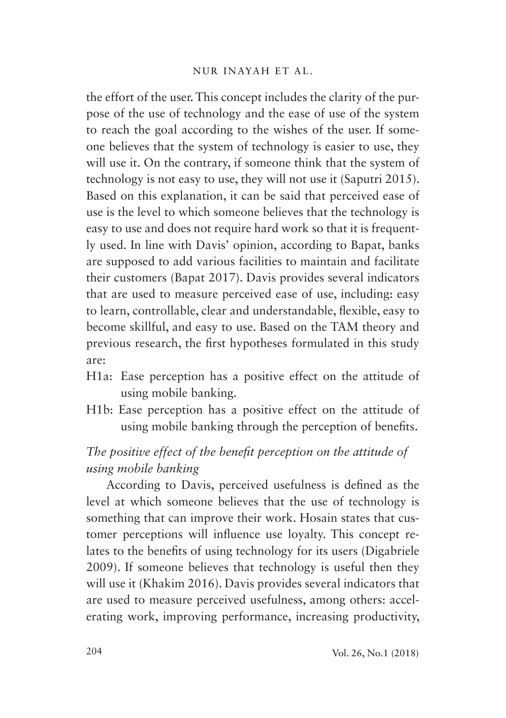#### NUR INAYAH ET AL.

the effort of the user. This concept includes the clarity of the purpose of the use of technology and the ease of use of the system to reach the goal according to the wishes of the user. If someone believes that the system of technology is easier to use, they will use it. On the contrary, if someone think that the system of technology is not easy to use, they will not use it (Saputri 2015). Based on this explanation, it can be said that perceived ease of use is the level to which someone believes that the technology is easy to use and does not require hard work so that it is frequently used. In line with Davis' opinion, according to Bapat, banks are supposed to add various facilities to maintain and facilitate their customers (Bapat 2017). Davis provides several indicators that are used to measure perceived ease of use, including: easy to learn, controllable, clear and understandable, flexible, easy to become skillful, and easy to use. Based on the TAM theory and previous research, the first hypotheses formulated in this study are:

- H1a: Ease perception has a positive effect on the attitude of using mobile banking.
- H1b: Ease perception has a positive effect on the attitude of using mobile banking through the perception of benefits.

# *The positive effect of the benefit perception on the attitude of using mobile banking*

According to Davis, perceived usefulness is defined as the level at which someone believes that the use of technology is something that can improve their work. Hosain states that customer perceptions will influence use loyalty. This concept relates to the benefits of using technology for its users (Digabriele 2009). If someone believes that technology is useful then they will use it (Khakim 2016). Davis provides several indicators that are used to measure perceived usefulness, among others: accelerating work, improving performance, increasing productivity,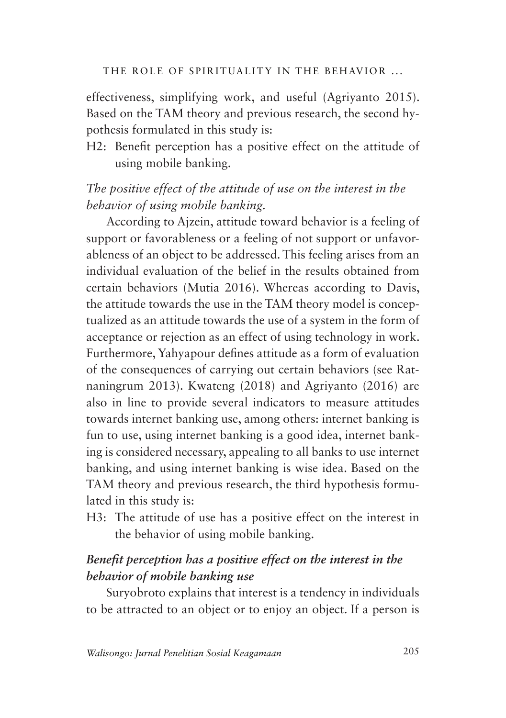effectiveness, simplifying work, and useful (Agriyanto 2015). Based on the TAM theory and previous research, the second hypothesis formulated in this study is:

H2: Benefit perception has a positive effect on the attitude of using mobile banking.

# *The positive effect of the attitude of use on the interest in the behavior of using mobile banking.*

According to Ajzein, attitude toward behavior is a feeling of support or favorableness or a feeling of not support or unfavorableness of an object to be addressed. This feeling arises from an individual evaluation of the belief in the results obtained from certain behaviors (Mutia 2016). Whereas according to Davis, the attitude towards the use in the TAM theory model is conceptualized as an attitude towards the use of a system in the form of acceptance or rejection as an effect of using technology in work. Furthermore, Yahyapour defines attitude as a form of evaluation of the consequences of carrying out certain behaviors (see Ratnaningrum 2013). Kwateng (2018) and Agriyanto (2016) are also in line to provide several indicators to measure attitudes towards internet banking use, among others: internet banking is fun to use, using internet banking is a good idea, internet banking is considered necessary, appealing to all banks to use internet banking, and using internet banking is wise idea. Based on the TAM theory and previous research, the third hypothesis formulated in this study is:

H3: The attitude of use has a positive effect on the interest in the behavior of using mobile banking.

# *Benefit perception has a positive effect on the interest in the behavior of mobile banking use*

Suryobroto explains that interest is a tendency in individuals to be attracted to an object or to enjoy an object. If a person is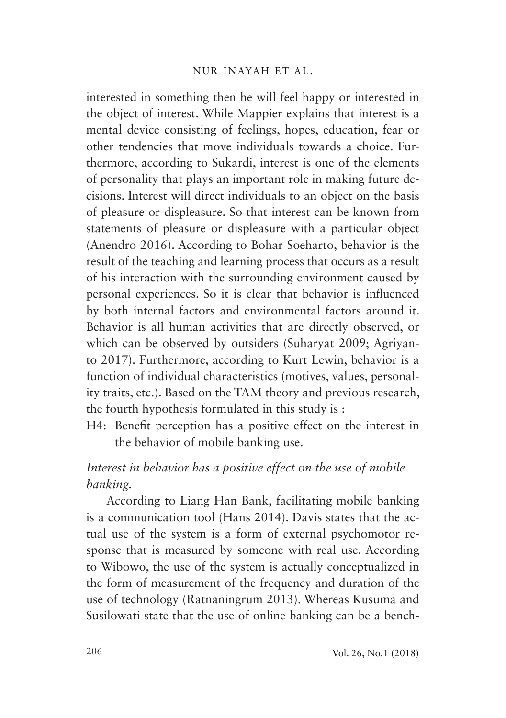### NUR INAYAH ET AL.

interested in something then he will feel happy or interested in the object of interest. While Mappier explains that interest is a mental device consisting of feelings, hopes, education, fear or other tendencies that move individuals towards a choice. Furthermore, according to Sukardi, interest is one of the elements of personality that plays an important role in making future decisions. Interest will direct individuals to an object on the basis of pleasure or displeasure. So that interest can be known from statements of pleasure or displeasure with a particular object (Anendro 2016). According to Bohar Soeharto, behavior is the result of the teaching and learning process that occurs as a result of his interaction with the surrounding environment caused by personal experiences. So it is clear that behavior is influenced by both internal factors and environmental factors around it. Behavior is all human activities that are directly observed, or which can be observed by outsiders (Suharyat 2009; Agriyanto 2017). Furthermore, according to Kurt Lewin, behavior is a function of individual characteristics (motives, values, personality traits, etc.). Based on the TAM theory and previous research, the fourth hypothesis formulated in this study is :

H4: Benefit perception has a positive effect on the interest in the behavior of mobile banking use.

# *Interest in behavior has a positive effect on the use of mobile banking.*

According to Liang Han Bank, facilitating mobile banking is a communication tool (Hans 2014). Davis states that the actual use of the system is a form of external psychomotor response that is measured by someone with real use. According to Wibowo, the use of the system is actually conceptualized in the form of measurement of the frequency and duration of the use of technology (Ratnaningrum 2013). Whereas Kusuma and Susilowati state that the use of online banking can be a bench-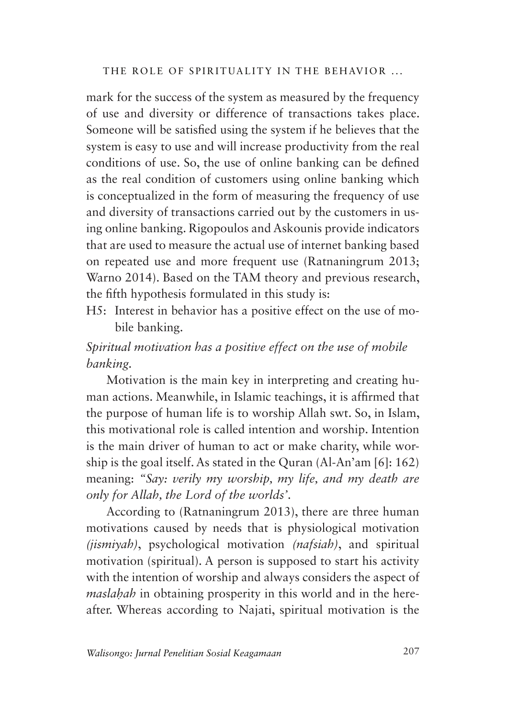mark for the success of the system as measured by the frequency of use and diversity or difference of transactions takes place. Someone will be satisfied using the system if he believes that the system is easy to use and will increase productivity from the real conditions of use. So, the use of online banking can be defined as the real condition of customers using online banking which is conceptualized in the form of measuring the frequency of use and diversity of transactions carried out by the customers in using online banking. Rigopoulos and Askounis provide indicators that are used to measure the actual use of internet banking based on repeated use and more frequent use (Ratnaningrum 2013; Warno 2014). Based on the TAM theory and previous research, the fifth hypothesis formulated in this study is:

H5: Interest in behavior has a positive effect on the use of mobile banking.

# *Spiritual motivation has a positive effect on the use of mobile banking.*

Motivation is the main key in interpreting and creating human actions. Meanwhile, in Islamic teachings, it is affirmed that the purpose of human life is to worship Allah swt. So, in Islam, this motivational role is called intention and worship. Intention is the main driver of human to act or make charity, while worship is the goal itself. As stated in the Quran (Al-An'am [6]: 162) meaning: *"Say: verily my worship, my life, and my death are only for Allah, the Lord of the worlds'*.

According to (Ratnaningrum 2013), there are three human motivations caused by needs that is physiological motivation *(jismiyah)*, psychological motivation *(nafsiah)*, and spiritual motivation (spiritual). A person is supposed to start his activity with the intention of worship and always considers the aspect of *maslaḥah* in obtaining prosperity in this world and in the hereafter. Whereas according to Najati, spiritual motivation is the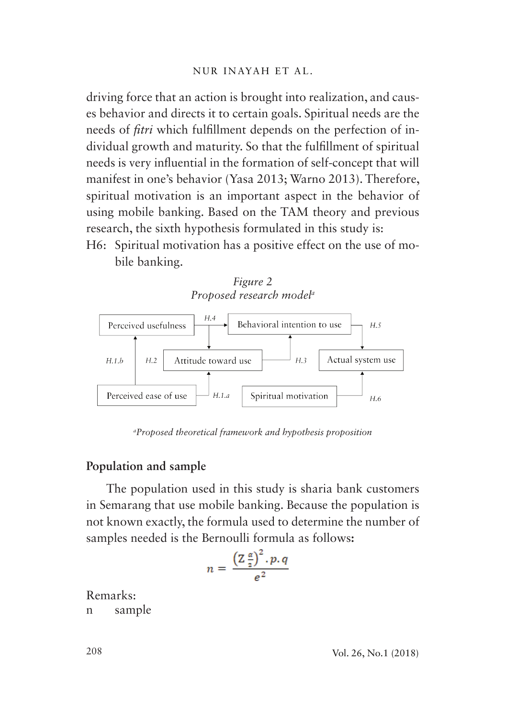driving force that an action is brought into realization, and causes behavior and directs it to certain goals. Spiritual needs are the needs of *fitri* which fulfillment depends on the perfection of individual growth and maturity. So that the fulfillment of spiritual needs is very influential in the formation of self-concept that will manifest in one's behavior (Yasa 2013; Warno 2013). Therefore, spiritual motivation is an important aspect in the behavior of using mobile banking. Based on the TAM theory and previous research, the sixth hypothesis formulated in this study is:

H6: Spiritual motivation has a positive effect on the use of mobile banking.



*a Proposed theoretical framework and hypothesis proposition*

### **Population and sample**

The population used in this study is sharia bank customers in Semarang that use mobile banking. Because the population is not known exactly, the formula used to determine the number of samples needed is the Bernoulli formula as follows**:**

$$
n = \frac{\left(\mathbb{Z}\frac{\alpha}{2}\right)^2 \cdot p \cdot q}{e^2}
$$

Remarks: n sample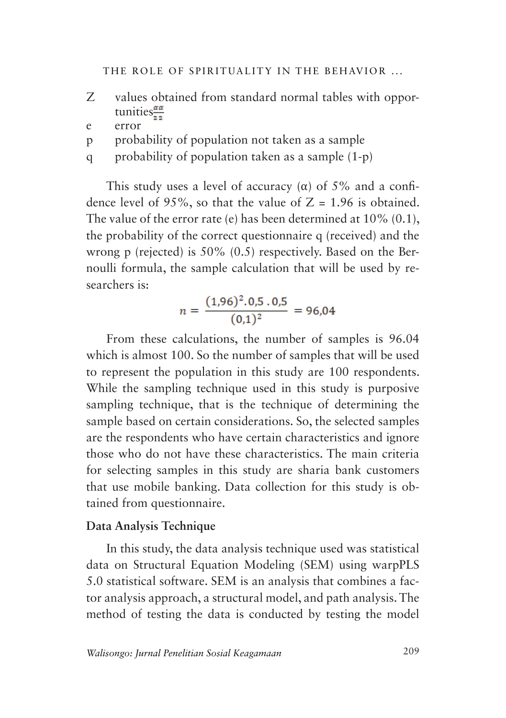- Z values obtained from standard normal tables with opportunities $\frac{\alpha \alpha}{2a}$
- e error
- p probability of population not taken as a sample
- q probability of population taken as a sample (1-p)

This study uses a level of accuracy ( $\alpha$ ) of 5% and a confidence level of 95%, so that the value of  $Z = 1.96$  is obtained. The value of the error rate (e) has been determined at 10% (0.1), the probability of the correct questionnaire q (received) and the wrong p (rejected) is 50% (0.5) respectively. Based on the Bernoulli formula, the sample calculation that will be used by researchers is:

$$
n = \frac{(1,96)^2 \cdot 0,5 \cdot 0,5}{(0,1)^2} = 96,04
$$

From these calculations, the number of samples is 96.04 which is almost 100. So the number of samples that will be used to represent the population in this study are 100 respondents. While the sampling technique used in this study is purposive sampling technique, that is the technique of determining the sample based on certain considerations. So, the selected samples are the respondents who have certain characteristics and ignore those who do not have these characteristics. The main criteria for selecting samples in this study are sharia bank customers that use mobile banking. Data collection for this study is obtained from questionnaire.

### **Data Analysis Technique**

In this study, the data analysis technique used was statistical data on Structural Equation Modeling (SEM) using warpPLS 5.0 statistical software. SEM is an analysis that combines a factor analysis approach, a structural model, and path analysis. The method of testing the data is conducted by testing the model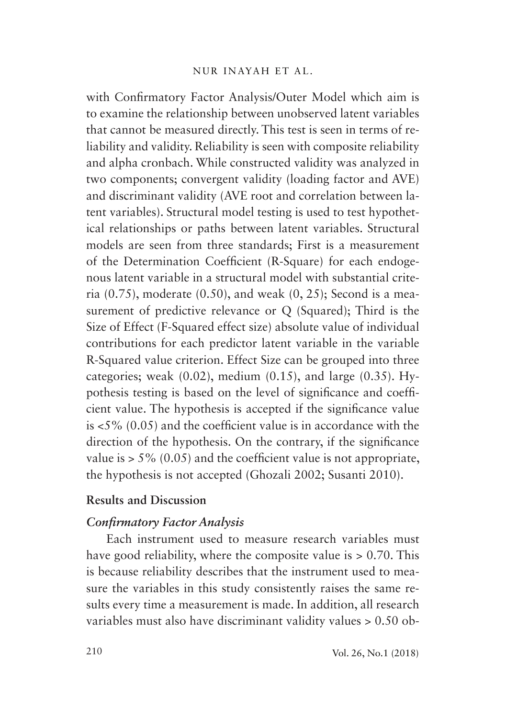with Confirmatory Factor Analysis/Outer Model which aim is to examine the relationship between unobserved latent variables that cannot be measured directly. This test is seen in terms of reliability and validity. Reliability is seen with composite reliability and alpha cronbach. While constructed validity was analyzed in two components; convergent validity (loading factor and AVE) and discriminant validity (AVE root and correlation between latent variables). Structural model testing is used to test hypothetical relationships or paths between latent variables. Structural models are seen from three standards; First is a measurement of the Determination Coefficient (R-Square) for each endogenous latent variable in a structural model with substantial criteria (0.75), moderate (0.50), and weak (0, 25); Second is a measurement of predictive relevance or Q (Squared); Third is the Size of Effect (F-Squared effect size) absolute value of individual contributions for each predictor latent variable in the variable R-Squared value criterion. Effect Size can be grouped into three categories; weak  $(0.02)$ , medium  $(0.15)$ , and large  $(0.35)$ . Hypothesis testing is based on the level of significance and coefficient value. The hypothesis is accepted if the significance value is <5% (0.05) and the coefficient value is in accordance with the direction of the hypothesis. On the contrary, if the significance value is  $> 5\%$  (0.05) and the coefficient value is not appropriate, the hypothesis is not accepted (Ghozali 2002; Susanti 2010).

## **Results and Discussion**

## *Confirmatory Factor Analysis*

Each instrument used to measure research variables must have good reliability, where the composite value is  $> 0.70$ . This is because reliability describes that the instrument used to measure the variables in this study consistently raises the same results every time a measurement is made. In addition, all research variables must also have discriminant validity values > 0.50 ob-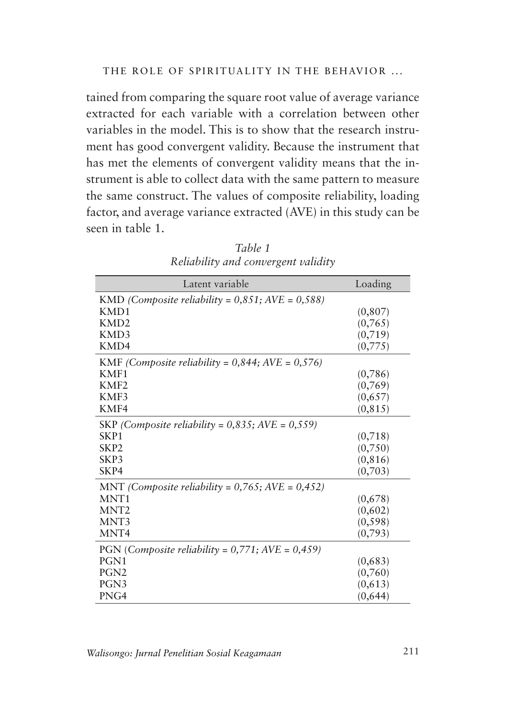tained from comparing the square root value of average variance extracted for each variable with a correlation between other variables in the model. This is to show that the research instrument has good convergent validity. Because the instrument that has met the elements of convergent validity means that the instrument is able to collect data with the same pattern to measure the same construct. The values of composite reliability, loading factor, and average variance extracted (AVE) in this study can be seen in table 1.

| Latent variable                                        | Loading  |
|--------------------------------------------------------|----------|
| KMD (Composite reliability = $0,851; AVE = 0,588$ )    |          |
| KM <sub>D</sub> 1                                      | (0, 807) |
| KMD <sub>2</sub>                                       | (0,765)  |
| KMD3                                                   | (0,719)  |
| KMD4                                                   | (0,775)  |
| KMF (Composite reliability = $0,844$ ; AVE = $0,576$ ) |          |
| KMF1                                                   | (0,786)  |
| KMF <sub>2</sub>                                       | (0,769)  |
| KMF3                                                   | (0,657)  |
| KMF4                                                   | (0, 815) |
| SKP (Composite reliability = $0,835$ ; AVE = $0,559$ ) |          |
| SKP <sub>1</sub>                                       | (0,718)  |
| SKP <sub>2</sub>                                       | (0,750)  |
| SKP3                                                   | (0, 816) |
| SKP4                                                   | (0,703)  |
| MNT (Composite reliability = $0,765$ ; AVE = $0,452$ ) |          |
| MNT <sub>1</sub>                                       | (0,678)  |
| MNT <sub>2</sub>                                       | (0,602)  |
| MNT3                                                   | (0, 598) |
| MNT4                                                   | (0,793)  |
| PGN (Composite reliability = $0,771$ ; AVE = $0,459$ ) |          |
| PGN <sub>1</sub>                                       | (0,683)  |
| PGN <sub>2</sub>                                       | (0,760)  |
| PGN <sub>3</sub>                                       | (0,613)  |
| PNG4                                                   | (0,644)  |

*Table 1 Reliability and convergent validity*

*Walisongo: Jurnal Penelitian Sosial Keagamaan* 211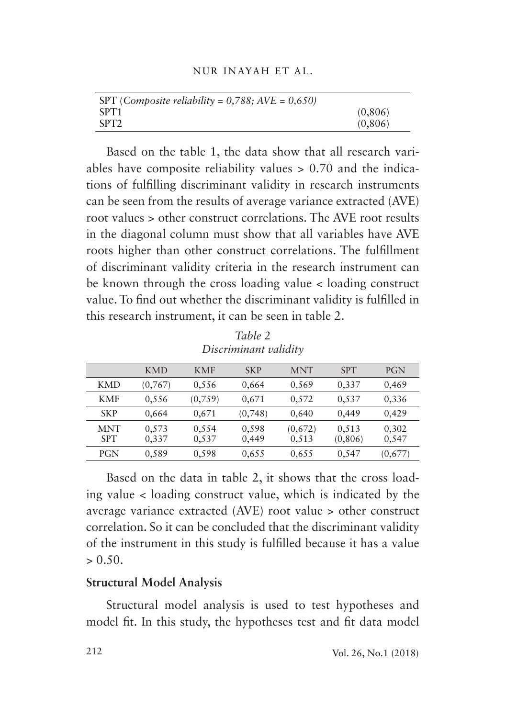| NUR INAYAH ET AL. |  |
|-------------------|--|
|                   |  |

| SPT (Composite reliability = $0,788$ ; AVE = $0,650$ ) |          |
|--------------------------------------------------------|----------|
| SPT <sub>1</sub>                                       | (0, 806) |
| SPT <sub>2</sub>                                       | (0, 806) |

Based on the table 1, the data show that all research variables have composite reliability values > 0.70 and the indications of fulfilling discriminant validity in research instruments can be seen from the results of average variance extracted (AVE) root values > other construct correlations. The AVE root results in the diagonal column must show that all variables have AVE roots higher than other construct correlations. The fulfillment of discriminant validity criteria in the research instrument can be known through the cross loading value < loading construct value. To find out whether the discriminant validity is fulfilled in this research instrument, it can be seen in table 2.

| Discriminant valiaity    |                |                |                |                  |                   |                |
|--------------------------|----------------|----------------|----------------|------------------|-------------------|----------------|
|                          | <b>KMD</b>     | <b>KMF</b>     | <b>SKP</b>     | <b>MNT</b>       | <b>SPT</b>        | PGN            |
| <b>KMD</b>               | (0,767)        | 0,556          | 0,664          | 0,569            | 0,337             | 0,469          |
| <b>KMF</b>               | 0,556          | (0,759)        | 0,671          | 0,572            | 0,537             | 0,336          |
| <b>SKP</b>               | 0,664          | 0,671          | (0,748)        | 0,640            | 0,449             | 0,429          |
| <b>MNT</b><br><b>SPT</b> | 0,573<br>0,337 | 0,554<br>0,537 | 0,598<br>0,449 | (0,672)<br>0,513 | 0,513<br>(0, 806) | 0,302<br>0,547 |
| PGN                      | 0,589          | 0,598          | 0,655          | 0,655            | 0,547             | (0,677)        |

*Table 2 Discriminant validity*

Based on the data in table 2, it shows that the cross loading value < loading construct value, which is indicated by the average variance extracted (AVE) root value > other construct correlation. So it can be concluded that the discriminant validity of the instrument in this study is fulfilled because it has a value  $> 0.50$ .

## **Structural Model Analysis**

Structural model analysis is used to test hypotheses and model fit. In this study, the hypotheses test and fit data model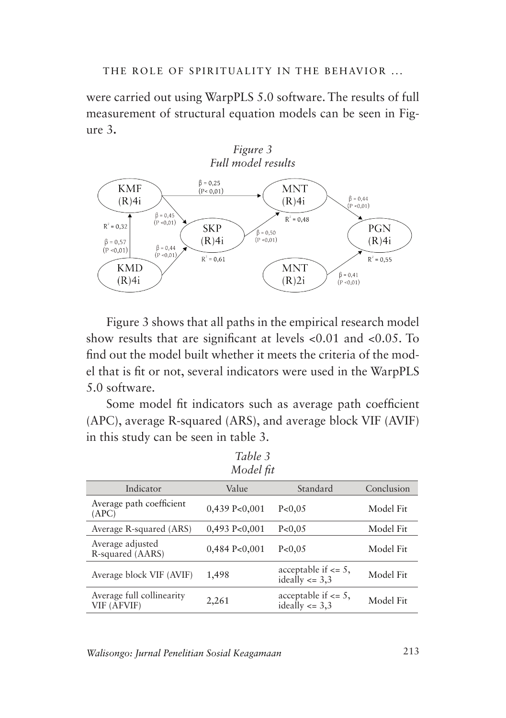were carried out using WarpPLS 5.0 software. The results of full measurement of structural equation models can be seen in Figure 3**.**



Figure 3 shows that all paths in the empirical research model show results that are significant at levels <0.01 and <0.05. To find out the model built whether it meets the criteria of the model that is fit or not, several indicators were used in the WarpPLS 5.0 software.

Some model fit indicators such as average path coefficient (APC), average R-squared (ARS), and average block VIF (AVIF) in this study can be seen in table 3.

| Table 3                                  |                    |                                               |            |
|------------------------------------------|--------------------|-----------------------------------------------|------------|
| Model fit                                |                    |                                               |            |
| Indicator                                | Value              | Standard                                      | Conclusion |
| Average path coefficient<br>(APC)        | $0,439$ P<0,001    | P < 0.05                                      | Model Fit  |
| Average R-squared (ARS)                  | $0,493$ P<0,001    | P< 0.05                                       | Model Fit  |
| Average adjusted<br>R-squared (AARS)     | $0,484$ P< $0,001$ | P< 0.05                                       | Model Fit  |
| Average block VIF (AVIF)                 | 1,498              | acceptable if $\leq$ 5,<br>ideally $\leq$ 3,3 | Model Fit  |
| Average full collinearity<br>VIF (AFVIF) | 2,261              | acceptable if $\leq$ 5,<br>ideally $\leq$ 3,3 | Model Fit  |

*Walisongo: Jurnal Penelitian Sosial Keagamaan* 213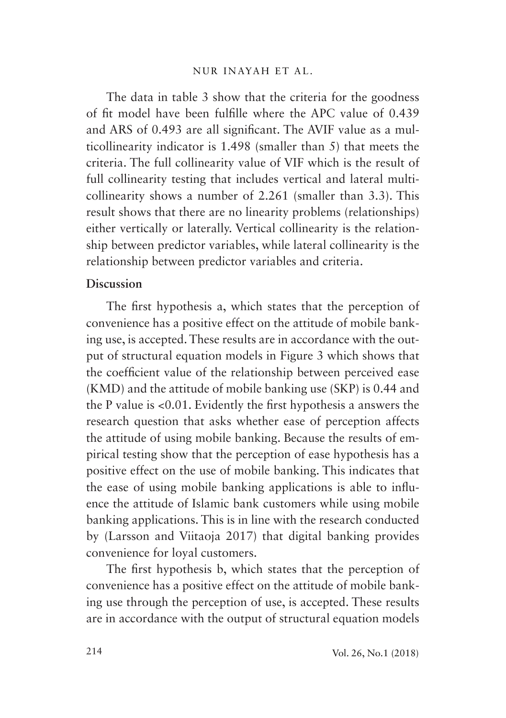The data in table 3 show that the criteria for the goodness of fit model have been fulfille where the APC value of 0.439 and ARS of 0.493 are all significant. The AVIF value as a multicollinearity indicator is 1.498 (smaller than 5) that meets the criteria. The full collinearity value of VIF which is the result of full collinearity testing that includes vertical and lateral multicollinearity shows a number of 2.261 (smaller than 3.3). This result shows that there are no linearity problems (relationships) either vertically or laterally. Vertical collinearity is the relationship between predictor variables, while lateral collinearity is the relationship between predictor variables and criteria.

## **Discussion**

The first hypothesis a, which states that the perception of convenience has a positive effect on the attitude of mobile banking use, is accepted. These results are in accordance with the output of structural equation models in Figure 3 which shows that the coefficient value of the relationship between perceived ease (KMD) and the attitude of mobile banking use (SKP) is 0.44 and the P value is <0.01. Evidently the first hypothesis a answers the research question that asks whether ease of perception affects the attitude of using mobile banking. Because the results of empirical testing show that the perception of ease hypothesis has a positive effect on the use of mobile banking. This indicates that the ease of using mobile banking applications is able to influence the attitude of Islamic bank customers while using mobile banking applications. This is in line with the research conducted by (Larsson and Viitaoja 2017) that digital banking provides convenience for loyal customers.

The first hypothesis b, which states that the perception of convenience has a positive effect on the attitude of mobile banking use through the perception of use, is accepted. These results are in accordance with the output of structural equation models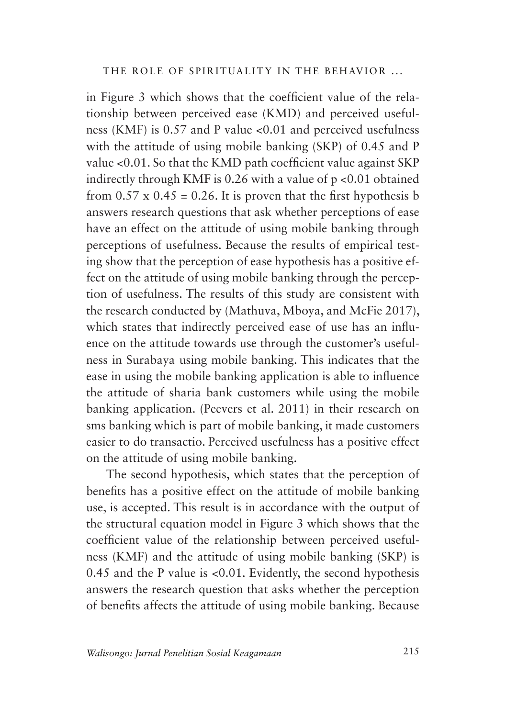in Figure 3 which shows that the coefficient value of the relationship between perceived ease (KMD) and perceived usefulness (KMF) is 0.57 and P value <0.01 and perceived usefulness with the attitude of using mobile banking (SKP) of 0.45 and P value <0.01. So that the KMD path coefficient value against SKP indirectly through KMF is  $0.26$  with a value of  $p < 0.01$  obtained from  $0.57 \times 0.45 = 0.26$ . It is proven that the first hypothesis b answers research questions that ask whether perceptions of ease have an effect on the attitude of using mobile banking through perceptions of usefulness. Because the results of empirical testing show that the perception of ease hypothesis has a positive effect on the attitude of using mobile banking through the perception of usefulness. The results of this study are consistent with the research conducted by (Mathuva, Mboya, and McFie 2017), which states that indirectly perceived ease of use has an influence on the attitude towards use through the customer's usefulness in Surabaya using mobile banking. This indicates that the ease in using the mobile banking application is able to influence the attitude of sharia bank customers while using the mobile banking application. (Peevers et al. 2011) in their research on sms banking which is part of mobile banking, it made customers easier to do transactio. Perceived usefulness has a positive effect on the attitude of using mobile banking.

The second hypothesis, which states that the perception of benefits has a positive effect on the attitude of mobile banking use, is accepted. This result is in accordance with the output of the structural equation model in Figure 3 which shows that the coefficient value of the relationship between perceived usefulness (KMF) and the attitude of using mobile banking (SKP) is 0.45 and the P value is <0.01. Evidently, the second hypothesis answers the research question that asks whether the perception of benefits affects the attitude of using mobile banking. Because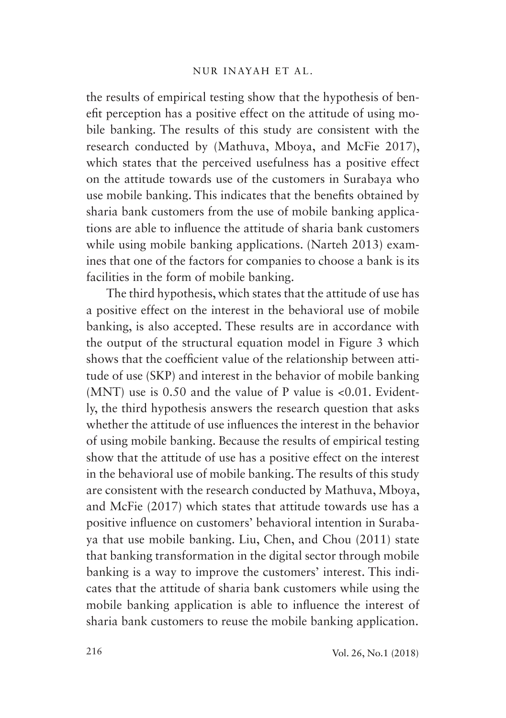the results of empirical testing show that the hypothesis of benefit perception has a positive effect on the attitude of using mobile banking. The results of this study are consistent with the research conducted by (Mathuva, Mboya, and McFie 2017), which states that the perceived usefulness has a positive effect on the attitude towards use of the customers in Surabaya who use mobile banking. This indicates that the benefits obtained by sharia bank customers from the use of mobile banking applications are able to influence the attitude of sharia bank customers while using mobile banking applications. (Narteh 2013) examines that one of the factors for companies to choose a bank is its facilities in the form of mobile banking.

The third hypothesis, which states that the attitude of use has a positive effect on the interest in the behavioral use of mobile banking, is also accepted. These results are in accordance with the output of the structural equation model in Figure 3 which shows that the coefficient value of the relationship between attitude of use (SKP) and interest in the behavior of mobile banking (MNT) use is 0.50 and the value of P value is <0.01. Evidently, the third hypothesis answers the research question that asks whether the attitude of use influences the interest in the behavior of using mobile banking. Because the results of empirical testing show that the attitude of use has a positive effect on the interest in the behavioral use of mobile banking. The results of this study are consistent with the research conducted by Mathuva, Mboya, and McFie (2017) which states that attitude towards use has a positive influence on customers' behavioral intention in Surabaya that use mobile banking. Liu, Chen, and Chou (2011) state that banking transformation in the digital sector through mobile banking is a way to improve the customers' interest. This indicates that the attitude of sharia bank customers while using the mobile banking application is able to influence the interest of sharia bank customers to reuse the mobile banking application.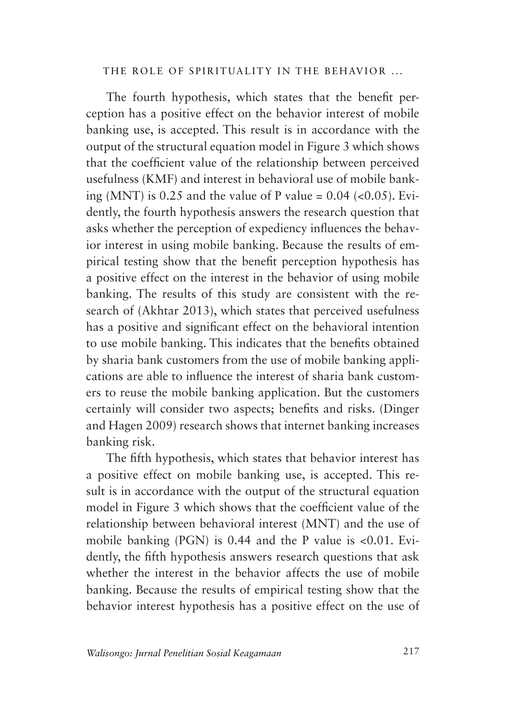The fourth hypothesis, which states that the benefit perception has a positive effect on the behavior interest of mobile banking use, is accepted. This result is in accordance with the output of the structural equation model in Figure 3 which shows that the coefficient value of the relationship between perceived usefulness (KMF) and interest in behavioral use of mobile banking (MNT) is  $0.25$  and the value of P value =  $0.04$  (< $0.05$ ). Evidently, the fourth hypothesis answers the research question that asks whether the perception of expediency influences the behavior interest in using mobile banking. Because the results of empirical testing show that the benefit perception hypothesis has a positive effect on the interest in the behavior of using mobile banking. The results of this study are consistent with the research of (Akhtar 2013), which states that perceived usefulness has a positive and significant effect on the behavioral intention to use mobile banking. This indicates that the benefits obtained by sharia bank customers from the use of mobile banking applications are able to influence the interest of sharia bank customers to reuse the mobile banking application. But the customers certainly will consider two aspects; benefits and risks. (Dinger and Hagen 2009) research shows that internet banking increases banking risk.

The fifth hypothesis, which states that behavior interest has a positive effect on mobile banking use, is accepted. This result is in accordance with the output of the structural equation model in Figure 3 which shows that the coefficient value of the relationship between behavioral interest (MNT) and the use of mobile banking (PGN) is 0.44 and the P value is <0.01. Evidently, the fifth hypothesis answers research questions that ask whether the interest in the behavior affects the use of mobile banking. Because the results of empirical testing show that the behavior interest hypothesis has a positive effect on the use of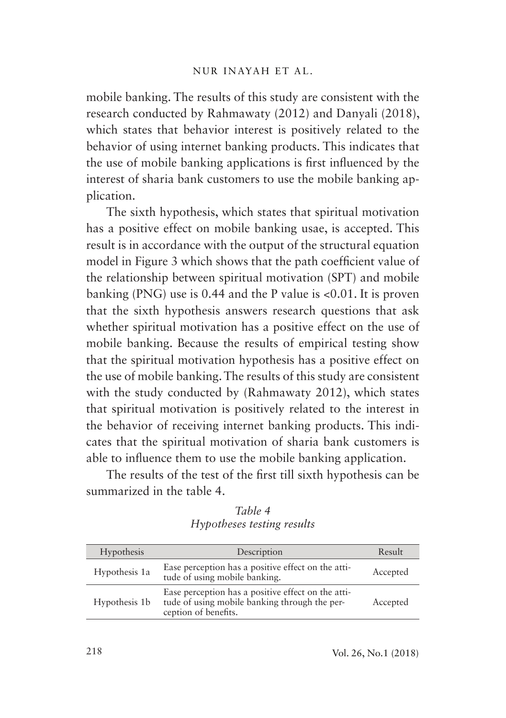mobile banking. The results of this study are consistent with the research conducted by Rahmawaty (2012) and Danyali (2018), which states that behavior interest is positively related to the behavior of using internet banking products. This indicates that the use of mobile banking applications is first influenced by the interest of sharia bank customers to use the mobile banking application.

The sixth hypothesis, which states that spiritual motivation has a positive effect on mobile banking usae, is accepted. This result is in accordance with the output of the structural equation model in Figure 3 which shows that the path coefficient value of the relationship between spiritual motivation (SPT) and mobile banking (PNG) use is 0.44 and the P value is <0.01. It is proven that the sixth hypothesis answers research questions that ask whether spiritual motivation has a positive effect on the use of mobile banking. Because the results of empirical testing show that the spiritual motivation hypothesis has a positive effect on the use of mobile banking. The results of this study are consistent with the study conducted by (Rahmawaty 2012), which states that spiritual motivation is positively related to the interest in the behavior of receiving internet banking products. This indicates that the spiritual motivation of sharia bank customers is able to influence them to use the mobile banking application.

The results of the test of the first till sixth hypothesis can be summarized in the table 4.

*Table 4 Hypotheses testing results*

| Hypothesis    | Description                                                                                                                 | Result   |
|---------------|-----------------------------------------------------------------------------------------------------------------------------|----------|
| Hypothesis 1a | Ease perception has a positive effect on the atti-<br>tude of using mobile banking.                                         | Accepted |
| Hypothesis 1b | Ease perception has a positive effect on the atti-<br>tude of using mobile banking through the per-<br>ception of benefits. | Accepted |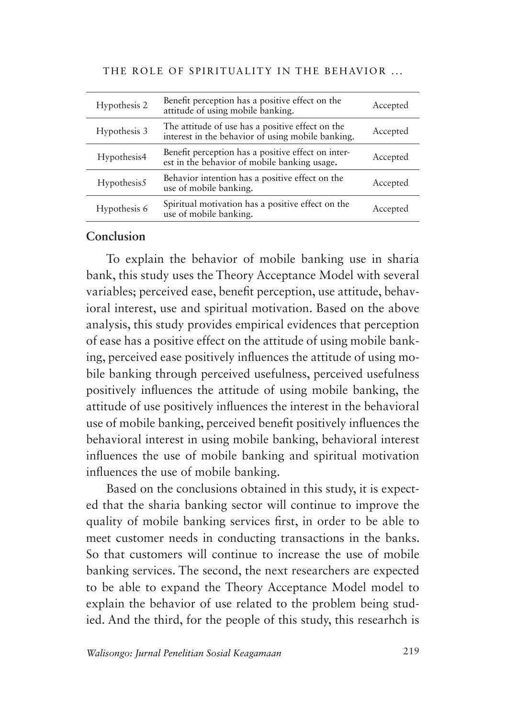| Hypothesis 2 | Benefit perception has a positive effect on the<br>attitude of using mobile banking.                  | Accepted |
|--------------|-------------------------------------------------------------------------------------------------------|----------|
| Hypothesis 3 | The attitude of use has a positive effect on the<br>interest in the behavior of using mobile banking. | Accepted |
| Hypothesis4  | Benefit perception has a positive effect on inter-<br>est in the behavior of mobile banking usage.    | Accepted |
| Hypothesis5  | Behavior intention has a positive effect on the<br>use of mobile banking.                             | Accepted |
| Hypothesis 6 | Spiritual motivation has a positive effect on the<br>use of mobile banking.                           | Accepted |

## **Conclusion**

To explain the behavior of mobile banking use in sharia bank, this study uses the Theory Acceptance Model with several variables; perceived ease, benefit perception, use attitude, behavioral interest, use and spiritual motivation. Based on the above analysis, this study provides empirical evidences that perception of ease has a positive effect on the attitude of using mobile banking, perceived ease positively influences the attitude of using mobile banking through perceived usefulness, perceived usefulness positively influences the attitude of using mobile banking, the attitude of use positively influences the interest in the behavioral use of mobile banking, perceived benefit positively influences the behavioral interest in using mobile banking, behavioral interest influences the use of mobile banking and spiritual motivation influences the use of mobile banking.

Based on the conclusions obtained in this study, it is expected that the sharia banking sector will continue to improve the quality of mobile banking services first, in order to be able to meet customer needs in conducting transactions in the banks. So that customers will continue to increase the use of mobile banking services. The second, the next researchers are expected to be able to expand the Theory Acceptance Model model to explain the behavior of use related to the problem being studied. And the third, for the people of this study, this researhch is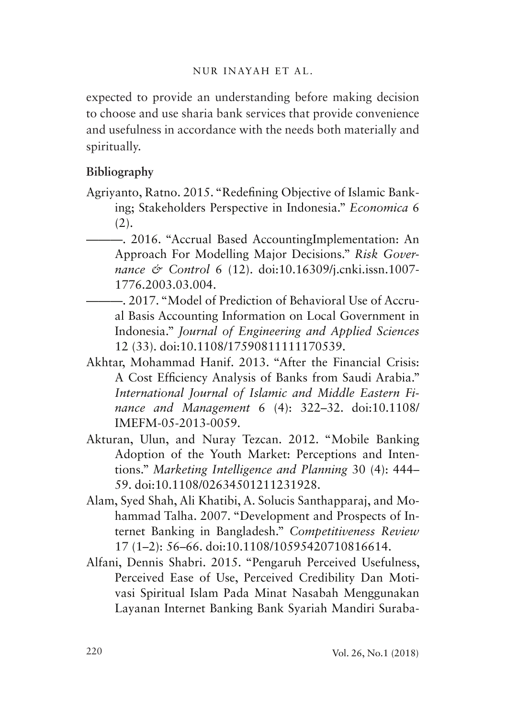expected to provide an understanding before making decision to choose and use sharia bank services that provide convenience and usefulness in accordance with the needs both materially and spiritually.

## **Bibliography**

- Agriyanto, Ratno. 2015. "Redefining Objective of Islamic Banking; Stakeholders Perspective in Indonesia." *Economica* 6  $(2).$ 
	- ———. 2016. "Accrual Based AccountingImplementation: An Approach For Modelling Major Decisions." *Risk Governance & Control* 6 (12). doi:10.16309/j.cnki.issn.1007- 1776.2003.03.004.
	- ———. 2017. "Model of Prediction of Behavioral Use of Accrual Basis Accounting Information on Local Government in Indonesia." *Journal of Engineering and Applied Sciences* 12 (33). doi:10.1108/17590811111170539.
- Akhtar, Mohammad Hanif. 2013. "After the Financial Crisis: A Cost Efficiency Analysis of Banks from Saudi Arabia." *International Journal of Islamic and Middle Eastern Finance and Management* 6 (4): 322–32. doi:10.1108/ IMEFM-05-2013-0059.
- Akturan, Ulun, and Nuray Tezcan. 2012. "Mobile Banking Adoption of the Youth Market: Perceptions and Intentions." *Marketing Intelligence and Planning* 30 (4): 444– 59. doi:10.1108/02634501211231928.
- Alam, Syed Shah, Ali Khatibi, A. Solucis Santhapparaj, and Mohammad Talha. 2007. "Development and Prospects of Internet Banking in Bangladesh." *Competitiveness Review* 17 (1–2): 56–66. doi:10.1108/10595420710816614.
- Alfani, Dennis Shabri. 2015. "Pengaruh Perceived Usefulness, Perceived Ease of Use, Perceived Credibility Dan Motivasi Spiritual Islam Pada Minat Nasabah Menggunakan Layanan Internet Banking Bank Syariah Mandiri Suraba-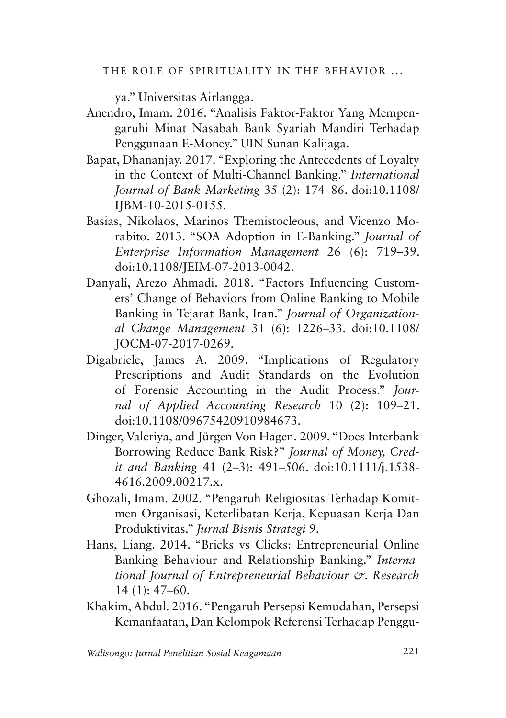ya." Universitas Airlangga.

- Anendro, Imam. 2016. "Analisis Faktor-Faktor Yang Mempengaruhi Minat Nasabah Bank Syariah Mandiri Terhadap Penggunaan E-Money." UIN Sunan Kalijaga.
- Bapat, Dhananjay. 2017. "Exploring the Antecedents of Loyalty in the Context of Multi-Channel Banking." *International Journal of Bank Marketing* 35 (2): 174–86. doi:10.1108/ IJBM-10-2015-0155.
- Basias, Nikolaos, Marinos Themistocleous, and Vicenzo Morabito. 2013. "SOA Adoption in E-Banking." *Journal of Enterprise Information Management* 26 (6): 719–39. doi:10.1108/JEIM-07-2013-0042.
- Danyali, Arezo Ahmadi. 2018. "Factors Influencing Customers' Change of Behaviors from Online Banking to Mobile Banking in Tejarat Bank, Iran." *Journal of Organizational Change Management* 31 (6): 1226–33. doi:10.1108/ JOCM-07-2017-0269.
- Digabriele, James A. 2009. "Implications of Regulatory Prescriptions and Audit Standards on the Evolution of Forensic Accounting in the Audit Process." *Journal of Applied Accounting Research* 10 (2): 109–21. doi:10.1108/09675420910984673.
- Dinger, Valeriya, and Jürgen Von Hagen. 2009. "Does Interbank Borrowing Reduce Bank Risk?" *Journal of Money, Credit and Banking* 41 (2–3): 491–506. doi:10.1111/j.1538- 4616.2009.00217.x.
- Ghozali, Imam. 2002. "Pengaruh Religiositas Terhadap Komitmen Organisasi, Keterlibatan Kerja, Kepuasan Kerja Dan Produktivitas." *Jurnal Bisnis Strategi* 9.
- Hans, Liang. 2014. "Bricks vs Clicks: Entrepreneurial Online Banking Behaviour and Relationship Banking." *International Journal of Entrepreneurial Behaviour &. Research* 14 (1): 47–60.
- Khakim, Abdul. 2016. "Pengaruh Persepsi Kemudahan, Persepsi Kemanfaatan, Dan Kelompok Referensi Terhadap Penggu-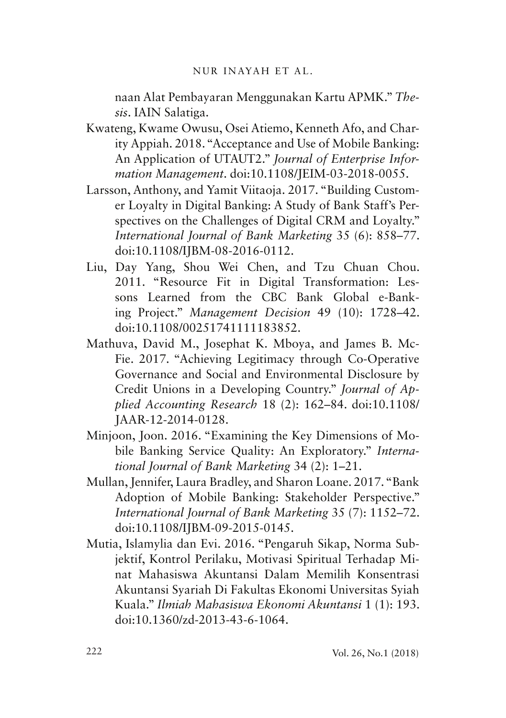### NUR INAYAH ET AL.

naan Alat Pembayaran Menggunakan Kartu APMK." *Thesis*. IAIN Salatiga.

- Kwateng, Kwame Owusu, Osei Atiemo, Kenneth Afo, and Charity Appiah. 2018. "Acceptance and Use of Mobile Banking: An Application of UTAUT2." *Journal of Enterprise Information Management*. doi:10.1108/JEIM-03-2018-0055.
- Larsson, Anthony, and Yamit Viitaoja. 2017. "Building Customer Loyalty in Digital Banking: A Study of Bank Staff's Perspectives on the Challenges of Digital CRM and Loyalty." *International Journal of Bank Marketing* 35 (6): 858–77. doi:10.1108/IJBM-08-2016-0112.
- Liu, Day Yang, Shou Wei Chen, and Tzu Chuan Chou. 2011. "Resource Fit in Digital Transformation: Lessons Learned from the CBC Bank Global e-Banking Project." *Management Decision* 49 (10): 1728–42. doi:10.1108/00251741111183852.
- Mathuva, David M., Josephat K. Mboya, and James B. Mc-Fie. 2017. "Achieving Legitimacy through Co-Operative Governance and Social and Environmental Disclosure by Credit Unions in a Developing Country." *Journal of Applied Accounting Research* 18 (2): 162–84. doi:10.1108/ JAAR-12-2014-0128.
- Minjoon, Joon. 2016. "Examining the Key Dimensions of Mobile Banking Service Quality: An Exploratory." *International Journal of Bank Marketing* 34 (2): 1–21.
- Mullan, Jennifer, Laura Bradley, and Sharon Loane. 2017. "Bank Adoption of Mobile Banking: Stakeholder Perspective." *International Journal of Bank Marketing* 35 (7): 1152–72. doi:10.1108/IJBM-09-2015-0145.
- Mutia, Islamylia dan Evi. 2016. "Pengaruh Sikap, Norma Subjektif, Kontrol Perilaku, Motivasi Spiritual Terhadap Minat Mahasiswa Akuntansi Dalam Memilih Konsentrasi Akuntansi Syariah Di Fakultas Ekonomi Universitas Syiah Kuala." *Ilmiah Mahasiswa Ekonomi Akuntansi* 1 (1): 193. doi:10.1360/zd-2013-43-6-1064.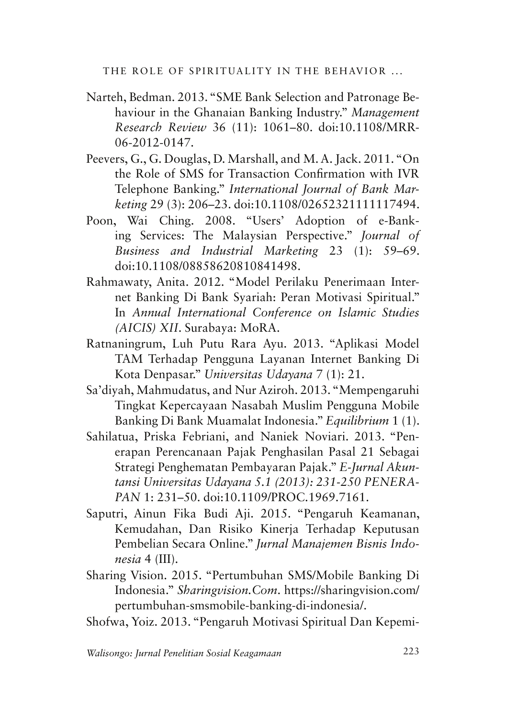- Narteh, Bedman. 2013. "SME Bank Selection and Patronage Behaviour in the Ghanaian Banking Industry." *Management Research Review* 36 (11): 1061–80. doi:10.1108/MRR-06-2012-0147.
- Peevers, G., G. Douglas, D. Marshall, and M. A. Jack. 2011. "On the Role of SMS for Transaction Confirmation with IVR Telephone Banking." *International Journal of Bank Marketing* 29 (3): 206–23. doi:10.1108/02652321111117494.
- Poon, Wai Ching. 2008. "Users' Adoption of e-Banking Services: The Malaysian Perspective." *Journal of Business and Industrial Marketing* 23 (1): 59–69. doi:10.1108/08858620810841498.
- Rahmawaty, Anita. 2012. "Model Perilaku Penerimaan Internet Banking Di Bank Syariah: Peran Motivasi Spiritual." In *Annual International Conference on Islamic Studies (AICIS) XII*. Surabaya: MoRA.
- Ratnaningrum, Luh Putu Rara Ayu. 2013. "Aplikasi Model TAM Terhadap Pengguna Layanan Internet Banking Di Kota Denpasar." *Universitas Udayana* 7 (1): 21.
- Sa'diyah, Mahmudatus, and Nur Aziroh. 2013. "Mempengaruhi Tingkat Kepercayaan Nasabah Muslim Pengguna Mobile Banking Di Bank Muamalat Indonesia." *Equilibrium* 1 (1).
- Sahilatua, Priska Febriani, and Naniek Noviari. 2013. "Penerapan Perencanaan Pajak Penghasilan Pasal 21 Sebagai Strategi Penghematan Pembayaran Pajak." *E-Jurnal Akuntansi Universitas Udayana 5.1 (2013): 231-250 PENERA-PAN* 1: 231–50. doi:10.1109/PROC.1969.7161.
- Saputri, Ainun Fika Budi Aji. 2015. "Pengaruh Keamanan, Kemudahan, Dan Risiko Kinerja Terhadap Keputusan Pembelian Secara Online." *Jurnal Manajemen Bisnis Indonesia* 4 (III).
- Sharing Vision. 2015. "Pertumbuhan SMS/Mobile Banking Di Indonesia." *Sharingvision.Com*. https://sharingvision.com/ pertumbuhan-smsmobile-banking-di-indonesia/.
- Shofwa, Yoiz. 2013. "Pengaruh Motivasi Spiritual Dan Kepemi-